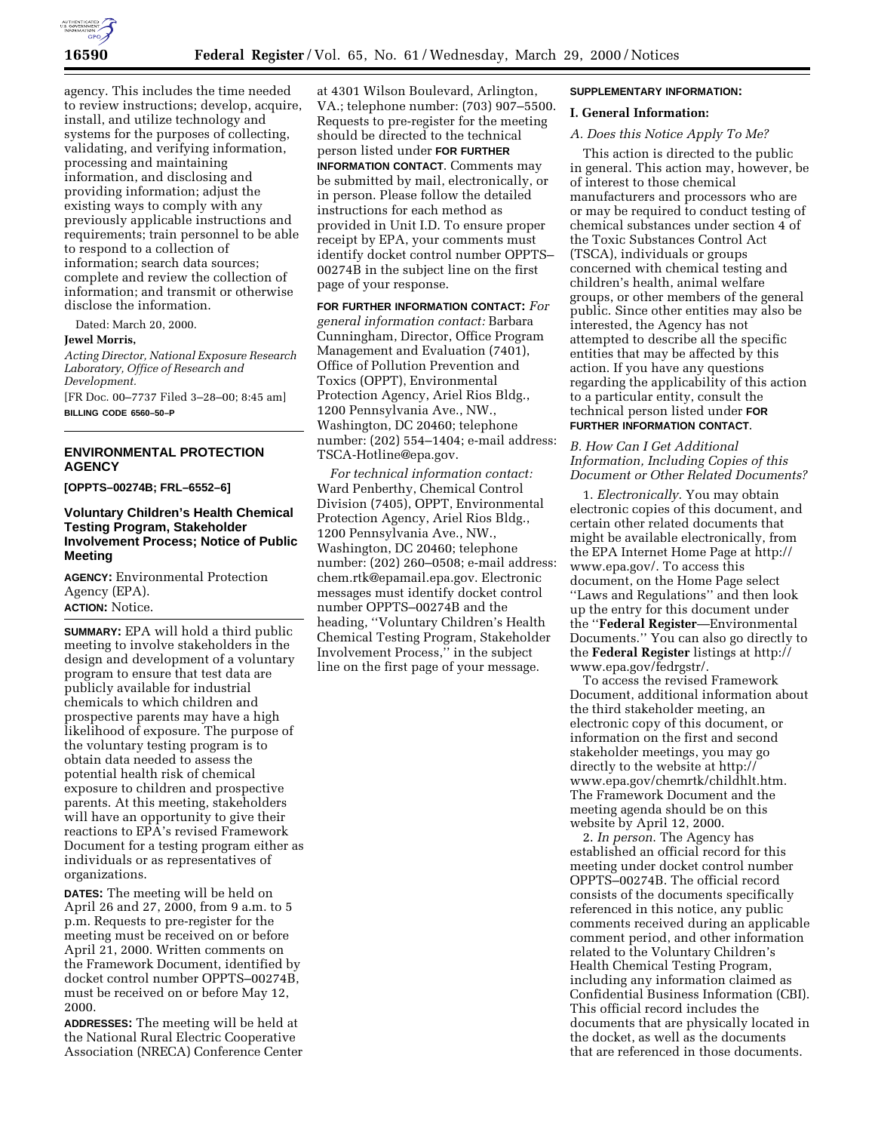

agency. This includes the time needed to review instructions; develop, acquire, install, and utilize technology and systems for the purposes of collecting, validating, and verifying information, processing and maintaining information, and disclosing and providing information; adjust the existing ways to comply with any previously applicable instructions and requirements; train personnel to be able to respond to a collection of information; search data sources; complete and review the collection of information; and transmit or otherwise disclose the information.

Dated: March 20, 2000.

### **Jewel Morris,**

*Acting Director, National Exposure Research Laboratory, Office of Research and Development.*

[FR Doc. 00–7737 Filed 3–28–00; 8:45 am] **BILLING CODE 6560–50–P**

**ENVIRONMENTAL PROTECTION AGENCY**

**[OPPTS–00274B; FRL–6552–6]**

## **Voluntary Children's Health Chemical Testing Program, Stakeholder Involvement Process; Notice of Public Meeting**

**AGENCY:** Environmental Protection Agency (EPA). **ACTION:** Notice.

**SUMMARY:** EPA will hold a third public meeting to involve stakeholders in the design and development of a voluntary program to ensure that test data are publicly available for industrial chemicals to which children and prospective parents may have a high likelihood of exposure. The purpose of the voluntary testing program is to obtain data needed to assess the potential health risk of chemical exposure to children and prospective parents. At this meeting, stakeholders will have an opportunity to give their reactions to EPA's revised Framework Document for a testing program either as individuals or as representatives of organizations.

**DATES:** The meeting will be held on April 26 and 27, 2000, from 9 a.m. to 5 p.m. Requests to pre-register for the meeting must be received on or before April 21, 2000. Written comments on the Framework Document, identified by docket control number OPPTS–00274B, must be received on or before May 12, 2000.

**ADDRESSES:** The meeting will be held at the National Rural Electric Cooperative Association (NRECA) Conference Center

at 4301 Wilson Boulevard, Arlington, VA.; telephone number: (703) 907–5500. Requests to pre-register for the meeting should be directed to the technical person listed under **FOR FURTHER INFORMATION CONTACT**. Comments may be submitted by mail, electronically, or in person. Please follow the detailed instructions for each method as provided in Unit I.D. To ensure proper receipt by EPA, your comments must identify docket control number OPPTS– 00274B in the subject line on the first page of your response.

**FOR FURTHER INFORMATION CONTACT:** *For general information contact:* Barbara Cunningham, Director, Office Program Management and Evaluation (7401), Office of Pollution Prevention and Toxics (OPPT), Environmental Protection Agency, Ariel Rios Bldg., 1200 Pennsylvania Ave., NW., Washington, DC 20460; telephone number: (202) 554–1404; e-mail address: TSCA-Hotline@epa.gov.

*For technical information contact:* Ward Penberthy, Chemical Control Division (7405), OPPT, Environmental Protection Agency, Ariel Rios Bldg., 1200 Pennsylvania Ave., NW., Washington, DC 20460; telephone number: (202) 260–0508; e-mail address: chem.rtk@epamail.epa.gov. Electronic messages must identify docket control number OPPTS–00274B and the heading, ''Voluntary Children's Health Chemical Testing Program, Stakeholder Involvement Process,'' in the subject line on the first page of your message.

#### **SUPPLEMENTARY INFORMATION:**

### **I. General Information:**

#### *A. Does this Notice Apply To Me?*

This action is directed to the public in general. This action may, however, be of interest to those chemical manufacturers and processors who are or may be required to conduct testing of chemical substances under section 4 of the Toxic Substances Control Act (TSCA), individuals or groups concerned with chemical testing and children's health, animal welfare groups, or other members of the general public. Since other entities may also be interested, the Agency has not attempted to describe all the specific entities that may be affected by this action. If you have any questions regarding the applicability of this action to a particular entity, consult the technical person listed under **FOR FURTHER INFORMATION CONTACT**.

# *B. How Can I Get Additional Information, Including Copies of this Document or Other Related Documents?*

1. *Electronically*. You may obtain electronic copies of this document, and certain other related documents that might be available electronically, from the EPA Internet Home Page at http:// www.epa.gov/. To access this document, on the Home Page select ''Laws and Regulations'' and then look up the entry for this document under the ''**Federal Register**—Environmental Documents.'' You can also go directly to the **Federal Register** listings at http:// www.epa.gov/fedrgstr/.

To access the revised Framework Document, additional information about the third stakeholder meeting, an electronic copy of this document, or information on the first and second stakeholder meetings, you may go directly to the website at http:// www.epa.gov/chemrtk/childhlt.htm. The Framework Document and the meeting agenda should be on this website by April 12, 2000.

2. *In person*. The Agency has established an official record for this meeting under docket control number OPPTS–00274B. The official record consists of the documents specifically referenced in this notice, any public comments received during an applicable comment period, and other information related to the Voluntary Children's Health Chemical Testing Program, including any information claimed as Confidential Business Information (CBI). This official record includes the documents that are physically located in the docket, as well as the documents that are referenced in those documents.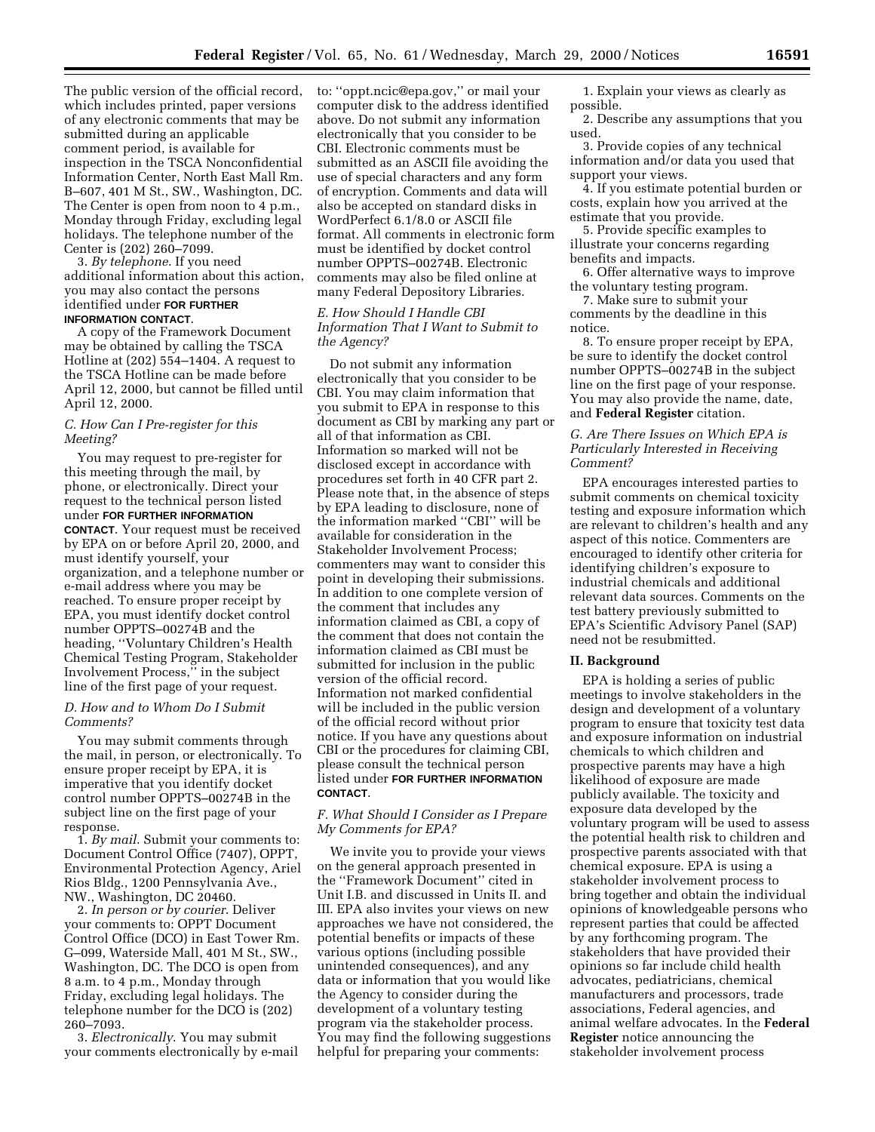The public version of the official record, which includes printed, paper versions of any electronic comments that may be submitted during an applicable comment period, is available for inspection in the TSCA Nonconfidential Information Center, North East Mall Rm. B–607, 401 M St., SW., Washington, DC. The Center is open from noon to 4 p.m., Monday through Friday, excluding legal holidays. The telephone number of the Center is (202) 260–7099.

3. *By telephone*. If you need additional information about this action, you may also contact the persons identified under **FOR FURTHER INFORMATION CONTACT**.

A copy of the Framework Document may be obtained by calling the TSCA Hotline at (202) 554–1404. A request to the TSCA Hotline can be made before April 12, 2000, but cannot be filled until April 12, 2000.

# *C. How Can I Pre-register for this Meeting?*

You may request to pre-register for this meeting through the mail, by phone, or electronically. Direct your request to the technical person listed under **FOR FURTHER INFORMATION CONTACT**. Your request must be received by EPA on or before April 20, 2000, and must identify yourself, your organization, and a telephone number or e-mail address where you may be reached. To ensure proper receipt by EPA, you must identify docket control number OPPTS–00274B and the heading, ''Voluntary Children's Health Chemical Testing Program, Stakeholder Involvement Process,'' in the subject line of the first page of your request.

# *D. How and to Whom Do I Submit Comments?*

You may submit comments through the mail, in person, or electronically. To ensure proper receipt by EPA, it is imperative that you identify docket control number OPPTS–00274B in the subject line on the first page of your response.

1. *By mail*. Submit your comments to: Document Control Office (7407), OPPT, Environmental Protection Agency, Ariel Rios Bldg., 1200 Pennsylvania Ave., NW., Washington, DC 20460.

2. *In person or by courier*. Deliver your comments to: OPPT Document Control Office (DCO) in East Tower Rm. G–099, Waterside Mall, 401 M St., SW., Washington, DC. The DCO is open from 8 a.m. to 4 p.m., Monday through Friday, excluding legal holidays. The telephone number for the DCO is (202) 260–7093.

3. *Electronically*. You may submit your comments electronically by e-mail to: ''oppt.ncic@epa.gov,'' or mail your computer disk to the address identified above. Do not submit any information electronically that you consider to be CBI. Electronic comments must be submitted as an ASCII file avoiding the use of special characters and any form of encryption. Comments and data will also be accepted on standard disks in WordPerfect 6.1/8.0 or ASCII file format. All comments in electronic form must be identified by docket control number OPPTS–00274B. Electronic comments may also be filed online at many Federal Depository Libraries.

## *E. How Should I Handle CBI Information That I Want to Submit to the Agency?*

Do not submit any information electronically that you consider to be CBI. You may claim information that you submit to EPA in response to this document as CBI by marking any part or all of that information as CBI. Information so marked will not be disclosed except in accordance with procedures set forth in 40 CFR part 2. Please note that, in the absence of steps by EPA leading to disclosure, none of the information marked ''CBI'' will be available for consideration in the Stakeholder Involvement Process; commenters may want to consider this point in developing their submissions. In addition to one complete version of the comment that includes any information claimed as CBI, a copy of the comment that does not contain the information claimed as CBI must be submitted for inclusion in the public version of the official record. Information not marked confidential will be included in the public version of the official record without prior notice. If you have any questions about CBI or the procedures for claiming CBI, please consult the technical person listed under **FOR FURTHER INFORMATION CONTACT**.

## *F. What Should I Consider as I Prepare My Comments for EPA?*

We invite you to provide your views on the general approach presented in the ''Framework Document'' cited in Unit I.B. and discussed in Units II. and III. EPA also invites your views on new approaches we have not considered, the potential benefits or impacts of these various options (including possible unintended consequences), and any data or information that you would like the Agency to consider during the development of a voluntary testing program via the stakeholder process. You may find the following suggestions helpful for preparing your comments:

1. Explain your views as clearly as possible.

2. Describe any assumptions that you used.

3. Provide copies of any technical information and/or data you used that support your views.

4. If you estimate potential burden or costs, explain how you arrived at the estimate that you provide.

5. Provide specific examples to illustrate your concerns regarding benefits and impacts.

6. Offer alternative ways to improve the voluntary testing program.

7. Make sure to submit your comments by the deadline in this

notice.

8. To ensure proper receipt by EPA, be sure to identify the docket control number OPPTS–00274B in the subject line on the first page of your response. You may also provide the name, date, and **Federal Register** citation.

## *G. Are There Issues on Which EPA is Particularly Interested in Receiving Comment?*

EPA encourages interested parties to submit comments on chemical toxicity testing and exposure information which are relevant to children's health and any aspect of this notice. Commenters are encouraged to identify other criteria for identifying children's exposure to industrial chemicals and additional relevant data sources. Comments on the test battery previously submitted to EPA's Scientific Advisory Panel (SAP) need not be resubmitted.

### **II. Background**

EPA is holding a series of public meetings to involve stakeholders in the design and development of a voluntary program to ensure that toxicity test data and exposure information on industrial chemicals to which children and prospective parents may have a high likelihood of exposure are made publicly available. The toxicity and exposure data developed by the voluntary program will be used to assess the potential health risk to children and prospective parents associated with that chemical exposure. EPA is using a stakeholder involvement process to bring together and obtain the individual opinions of knowledgeable persons who represent parties that could be affected by any forthcoming program. The stakeholders that have provided their opinions so far include child health advocates, pediatricians, chemical manufacturers and processors, trade associations, Federal agencies, and animal welfare advocates. In the **Federal Register** notice announcing the stakeholder involvement process